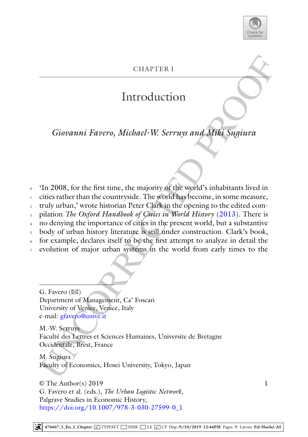

CHAPTER 1

# Introduction

*Giovanni Favero, Michael-W. Serruys and Miki Sugiura*

CHAPTER 1<br>
Introduction<br>
Giovanni Favero, Michael-W. Serruys and Miki Sugiura<br>
The 2008, for the first time, the majority of the world's inhabitants lived in<br>
didies rather than the countryside. The world has become, in so 'In 2008, for the first time, the majority of the world's inhabitants lived in cities rather than the countryside. The world has become, in some measure, truly urban,' wrote historian Peter Clark in the opening to the edited com- pilation *The Oxford Handbook of Cities in World History* [\(2013\)](#page-18-0). There is no denying the importance of cities in the present world, but a substantive body of urban history literature is still under construction. Clark's book,

<sup>6</sup> for example, declares itself to be the first attempt to analyze in detail the

<sup>7</sup> evolution of major urban systems in the world from early times to the

G. Favero  $(\boxtimes)$ Department of Management, Ca' Foscari University of Venice, Venice, Italy e-mail: gfavero@unive.it

M.-W. Serruys Faculté des Lettres et Sciences Humaines, Universite de Bretagne Occidentale, Brest, France

M. Sugiura Faculty of Economics, Hosei University, Tokyo, Japan

© The Author(s) 2019 G. Favero et al. (eds.), *The Urban Logistic Network*, Palgrave Studies in Economic History, [https://doi.org/10.1007/978-3-030-27599-0\\_1](https://doi.org/10.1007/978-3-030-27599-0_1)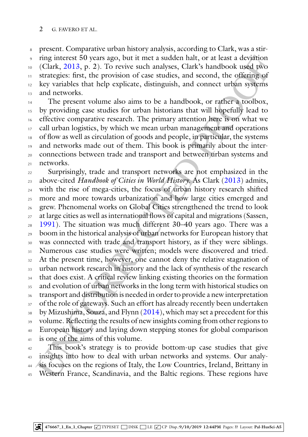#### 2. G. FAVERO ET AL.

 present. Comparative urban history analysis, according to Clark, was a stir- ring interest 50 years ago, but it met a sudden halt, or at least a deviation (Clark, [2013,](#page-18-0) p. 2). To revive such analyses, Clark's handbook used two strategies: first, the provision of case studies, and second, the offering of key variables that help explicate, distinguish, and connect urban systems and networks.

 The present volume also aims to be a handbook, or rather a toolbox, by providing case studies for urban historians that will hopefully lead to effective comparative research. The primary attention here is on what we call urban logistics, by which we mean urban management and operations of flow as well as circulation of goods and people, in particular, the systems and networks made out of them. This book is primarily about the inter- connections between trade and transport and between urban systems and networks.

ring interest 50 years ago, but it met a sudden halt, or at least a deviation direct software (Clark, 2013, p. 2). To revive such analyses, Clark's haralbook used two strategies: first, the provision of case studies, and Surprisingly, trade and transport networks are not emphasized in the above-cited *Handbook of Cities in World History*. As Clark [\(2013\)](#page-18-0) admits, with the rise of mega-cities, the focus of urban history research shifted more and more towards urbanization and how large cities emerged and grew. Phenomenal works on Global Cities strengthened the trend to look at large cities as well as international flows of capital and migrations (Sassen, 1991). The situation was much different 30–40 years ago. There was a boom in the historical analysis of urban networks for European history that was connected with trade and transport history, as if they were siblings. 31 Numerous case studies were written; models were discovered and tried. At the present time, however, one cannot deny the relative stagnation of urban network research in history and the lack of synthesis of the research that does exist. A critical review linking existing theories on the formation and evolution of urban networks in the long term with historical studies on transport and distribution is needed in order to provide a new interpretation <sup>37</sup> of the role of gateways. Such an effort has already recently been undertaken by Mizushima, Souza, and Flynn (2014), which may set a precedent for this volume. Reflecting the results of new insights coming from other regions to European history and laying down stepping stones for global comparison is one of the aims of this volume.

 This book's strategy is to provide bottom-up case studies that give insights into how to deal with urban networks and systems. Our analy- sis focuses on the regions of Italy, the Low Countries, Ireland, Brittany in Western France, Scandinavia, and the Baltic regions. These regions have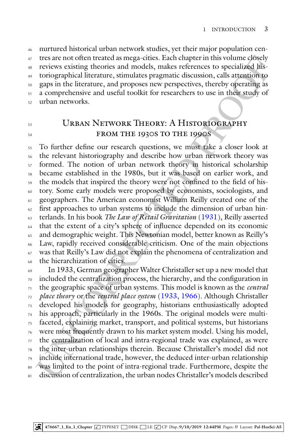nurtured historical urban network studies, yet their major population cen-47 tres are not often treated as mega-cities. Each chapter in this volume closely reviews existing theories and models, makes references to specialized his- toriographical literature, stimulates pragmatic discussion, calls attention to gaps in the literature, and proposes new perspectives, thereby operating as a comprehensive and useful toolkit for researchers to use in their study of urban networks.

# 53 URBAN NETWORK THEORY: A HISTORIOGRAPHY from the 1930s to the 1990s

tres are not of the theract as mega-cities. Each chapter in this volume closely reviews existing theories and models, makes references to specialized his-<br>toriographical literature, stimulates pragmatic discussion, calls a To further define our research questions, we must take a closer look at the relevant historiography and describe how urban network theory was formed. The notion of urban network theory in historical scholarship became established in the 1980s, but it was based on earlier work, and the models that inspired the theory were not confined to the field of his- tory. Some early models were proposed by economists, sociologists, and geographers. The American economist William Reilly created one of the first approaches to urban systems to include the dimension of urban hin- terlands. In his book *The Law of Retail Gravitation* [\(1931\)](#page-19-2), Reilly asserted that the extent of a city's sphere of influence depended on its economic and demographic weight. This Newtonian model, better known as Reilly's Law, rapidly received considerable criticism. One of the main objections was that Reilly's Law did not explain the phenomena of centralization and the hierarchization of cities.

 In 1933, German geographer Walter Christaller set up a new model that included the centralization process, the hierarchy, and the configuration in the geographic space of urban systems. This model is known as the *central place theory* or the *central place system* (1933, 1966). Although Christaller developed his models for geography, historians enthusiastically adopted his approach, particularly in the 1960s. The original models were multi- faceted, explaining market, transport, and political systems, but historians were most frequently drawn to his market system model. Using his model, the centralization of local and intra-regional trade was explained, as were the inter-urban relationships therein. Because Christaller's model did not include international trade, however, the deduced inter-urban relationship was limited to the point of intra-regional trade. Furthermore, despite the 81 discussion of centralization, the urban nodes Christaller's models described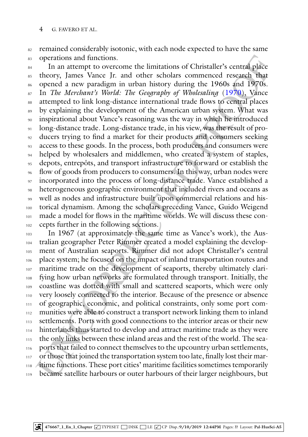<sup>82</sup> remained considerably isotonic, with each node expected to have the same 83 operations and functions.

operations and functions. The matter of correction and particular systems and mattempt to overcome the limitations of Christaller's central place theory, James Vance Jr. and other scholars commenced research that in The M <sup>84</sup> In an attempt to overcome the limitations of Christaller's central place 85 theory, James Vance Jr. and other scholars commenced research that opened a new paradigm in urban history during the 1960s and 1970s. In *The Merchant's World: The Geography of Wholesaling* (1970), Vance attempted to link long-distance international trade flows to central places 89 by explaining the development of the American urban system. What was inspirational about Vance's reasoning was the way in which he introduced long-distance trade. Long-distance trade, in his view, was the result of pro- ducers trying to find a market for their products and consumers seeking 93 access to these goods. In the process, both producers and consumers were helped by wholesalers and middlemen, who created a system of staples, depots, entrepôts, and transport infrastructure to forward or establish the flow of goods from producers to consumers. In this way, urban nodes were 97 incorporated into the process of long-distance trade. Vance established a heterogeneous geographic environment that included rivers and oceans as well as nodes and infrastructure built upon commercial relations and his- torical dynamism. Among the scholars preceding Vance, Guido Weigend made a model for flows in the maritime worlds. We will discuss these con-cepts further in the following sections.

103 In 1967 (at approximately the same time as Vance's work), the Aus- tralian geographer Peter Rimmer created a model explaining the develop- ment of Australian seaports. Rimmer did not adopt Christaller's central place system; he focused on the impact of inland transportation routes and maritime trade on the development of seaports, thereby ultimately clari- fying how urban networks are formulated through transport. Initially, the coastline was dotted with small and scattered seaports, which were only very loosely connected to the interior. Because of the presence or absence of geographic, economic, and political constraints, only some port com-112 munities were able to construct a transport network linking them to inland settlements. Ports with good connections to the interior areas or their new hinterlands thus started to develop and attract maritime trade as they were the only links between these inland areas and the rest of the world. The sea-116 ports that failed to connect themselves to the upcountry urban settlements, 117 or those that joined the transportation system too late, finally lost their mar- $_{118}$  *i*time functions. These port cities' maritime facilities sometimes temporarily became satellite harbours or outer harbours of their larger neighbours, but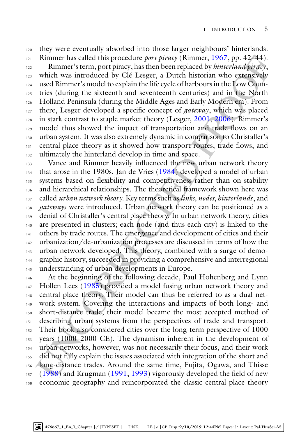they were eventually absorbed into those larger neighbours' hinterlands. Rimmer has called this procedure *port piracy* (Rimmer, 1967, pp. 42–44).

122 Rimmer's term, port piracy, has then been replaced by *hinterland piracy*, which was introduced by Clé Lesger, a Dutch historian who extensively used Rimmer's model to explain the life cycle of harbours in the Low Coun- tries (during the sixteenth and seventeenth centuries) and in the North Holland Peninsula (during the Middle Ages and Early Modern era). From there, Lesger developed a specific concept of *gateway*, which was placed in stark contrast to staple market theory (Lesger, 2001, 2006). Rimmer's model thus showed the impact of transportation and trade flows on an urban system. It was also extremely dynamic in comparison to Christaller's central place theory as it showed how transport routes, trade flows, and ultimately the hinterland develop in time and space.

Rimmer has called this procedure *pert pirres* (Rimmer, 1967, pp. 42–44). Winner, has then been replaced by *forecedary*, which was introduced by Clé Lesger, a [D](#page-18-3)utch historian who extensively used Rimmer's model to explai Vance and Rimmer heavily influenced the new urban network theory that arose in the 1980s. Jan de Vries (1984) developed a model of urban systems based on flexibility and competitiveness rather than on stability and hierarchical relationships. The theoretical framework shown here was called *urban network theory*. Key terms such as *links*, *nodes*, *hinterlands*, and *gateways* were introduced. Urban network theory can be positioned as a denial of Christaller's central place theory. In urban network theory, cities are presented in clusters; each node (and thus each city) is linked to the others by trade routes. The emergence and development of cities and their urbanization/de-urbanization processes are discussed in terms of how the urban network developed. This theory, combined with a surge of demo- graphic history, succeeded in providing a comprehensive and interregional understanding of urban developments in Europe.

146 At the beginning of the following decade, Paul Hohenberg and Lynn Hollen Lees (1985) provided a model fusing urban network theory and central place theory. Their model can thus be referred to as a dual net- work system. Covering the interactions and impacts of both long- and short-distance trade, their model became the most accepted method of describing urban systems from the perspectives of trade and transport. Their book also considered cities over the long-term perspective of 1000 years (1000–2000 CE). The dynamism inherent in the development of urban networks, however, was not necessarily their focus, and their work did not fully explain the issues associated with integration of the short and long-distance trades. Around the same time, Fujita, Ogawa, and Thisse <sup>157</sup> (1988) and Krugman (1991, 1993) vigorously developed the field of new economic geography and reincorporated the classic central place theory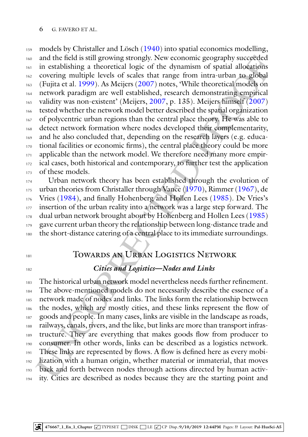#### G. FAVERO ET AL.

and the field is still growing strongly. New economic georgraphy succeeded<br>to metasthishing a theoretical logic of the dynamism of spatial allogations<br>covering multiple levels of scales that range from intra-urban to glob models by Christaller and Lösch  $(1940)$  into spatial economics modelling, and the field is still growing strongly. New economic geography succeeded in establishing a theoretical logic of the dynamism of spatial allocations covering multiple levels of scales that range from intra-urban to global (Fujita et al. [1999\)](#page-18-4). As Meijers [\(2007\)](#page-19-12) notes, 'While theoretical models on network paradigm are well established, research demonstrating empirical validity was non-existent' (Meijers, [2007,](#page-19-12) p. 135). Meijers himself (2007) tested whether the network model better described the spatial organization of polycentric urban regions than the central place theory. He was able to detect network formation where nodes developed their complementarity, and he also concluded that, depending on the research layers (e.g. educa- tional facilities or economic firms), the central place theory could be more 171 applicable than the network model. We therefore need many more empir- ical cases, both historical and contemporary, to further test the application of these models.

 Urban network theory has been established through the evolution of urban theories from Christaller through Vance (1970), Rimmer [\(1967\)](#page-19-4), de Vries (1984), and finally Hohenberg and Hollen Lees [\(1985\)](#page-19-7). De Vries's insertion of the urban reality into a network was a large step forward. The dual urban network brought about by Hohenberg and Hollen Lees [\(1985\)](#page-19-7) gave current urban theory the relationship between long-distance trade and the short-distance catering of a central place to its immediate surroundings.

# 181 TOWARDS AN URBAN LOGISTICS NETWORK

### *Cities and Logistics—Nodes and Links*

 The historical urban network model nevertheless needs further refinement. The above-mentioned models do not necessarily describe the essence of a network made of nodes and links. The links form the relationship between the nodes, which are mostly cities, and these links represent the flow of goods and people. In many cases, links are visible in the landscape as roads, railways, canals, rivers, and the like, but links are more than transport infras- tructure. They are everything that makes goods flow from producer to consumer. In other words, links can be described as a logistics network. These links are represented by flows. A flow is defined here as every mobi- lization with a human origin, whether material or immaterial, that moves back and forth between nodes through actions directed by human activ-ity. Cities are described as nodes because they are the starting point and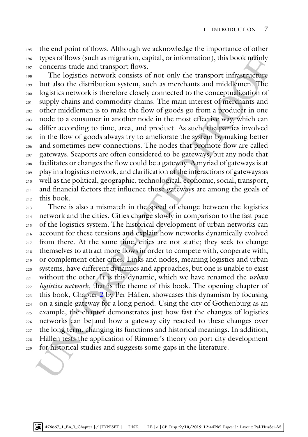the end point of flows. Although we acknowledge the importance of other types of flows (such as migration, capital, or information), this book mainly concerns trade and transport flows.

 The logistics network consists of not only the transport infrastructure but also the distribution system, such as merchants and middlemen. The logistics network is therefore closely connected to the conceptualization of supply chains and commodity chains. The main interest of merchants and other middlemen is to make the flow of goods go from a producer in one node to a consumer in another node in the most effective way, which can differ according to time, area, and product. As such, the parties involved in the flow of goods always try to ameliorate the system by making better and sometimes new connections. The nodes that promote flow are called gateways. Seaports are often considered to be gateways, but any node that facilitates or changes the flow could be a gateway. A myriad of gateways is at play in a logistics network, and clarification of the interactions of gateways as well as the political, geographic, technological, economic, social, transport, and financial factors that influence those gateways are among the goals of this book.

types of flows (such as migration, capital, or information), this book mainly<br>concerns trade and transport flows.<br>The logistics network consists of not only the transport infrastructure<br>but also the distribution system, su 213 There is also a mismatch in the speed of change between the logistics network and the cities. Cities change slowly in comparison to the fast pace of the logistics system. The historical development of urban networks can account for these tensions and explain how networks dynamically evolved from there. At the same time, cities are not static; they seek to change themselves to attract more flows in order to compete with, cooperate with, or complement other cities. Links and nodes, meaning logistics and urban systems, have different dynamics and approaches, but one is unable to exist without the other. It is this dynamic, which we have renamed the *urban logistics network*, that is the theme of this book. The opening chapter of this book, Chapter 2 by Per Hàllen, showcases this dynamism by focusing on a single gateway for a long period. Using the city of Gothenburg as an example, the chapter demonstrates just how fast the changes of logistics networks can be and how a gateway city reacted to these changes over  $_{227}$  the long term, changing its functions and historical meanings. In addition, Hàllen tests the application of Rimmer's theory on port city development for historical studies and suggests some gaps in the literature.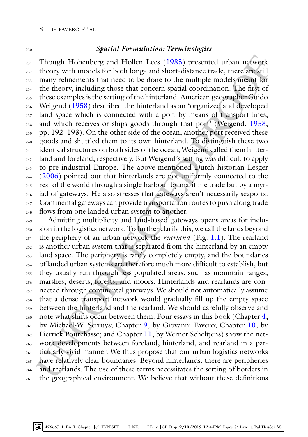#### *Spatial Formulation: Terminologies*

231 Though Hohenberg and Hollen Lees [\(1985\)](#page-19-7) presented urban network theory with models for both long- and short-distance trade, there are still many refinements that need to be done to the multiple models meant for the theory, including those that concern spatial coordination. The first of these examples is the setting of the hinterland. American geographer Guido Weigend [\(1958\)](#page-19-13) described the hinterland as an 'organized and developed 237 land space which is connected with a port by means of transport lines, <sub>238</sub> and which receives or ships goods through that port' (Weigend, 1958, pp. 192–193). On the other side of the ocean, another port received these goods and shuttled them to its own hinterland. To distinguish these two identical structures on both sides of the ocean, Weigend called them hinter- land and foreland, respectively. But Weigend's setting was difficult to apply to pre-industrial Europe. The above-mentioned Dutch historian Lesger ( $2006$ ) pointed out that hinterlands are not uniformly connected to the rest of the world through a single harbour by maritime trade but by a myr- iad of gateways. He also stresses that gateways aren't necessarily seaports. Continental gateways can provide transportation routes to push along trade flows from one landed urban system to another.

Though Hohenberg and Hollen Lees (1985) presented urban nework theory with models for both long-<br>and short-distance track, there are still ready through many refinements that need to be done to the multiple models,<br>with a Admitting multiplicity and land-based gateways opens areas for inclu- sion in the logistics network. To further clarify this, we call the lands beyond the periphery of an urban network the *rearland* (Fig. [1.1\)](#page-8-0). The rearland is another urban system that is separated from the hinterland by an empty land space. The periphery is rarely completely empty, and the boundaries of landed urban systems are therefore much more difficult to establish, but they usually run through less populated areas, such as mountain ranges, marshes, deserts, forests, and moors. Hinterlands and rearlands are con- nected through continental gateways. We should not automatically assume that a dense transport network would gradually fill up the empty space between the hinterland and the rearland. We should carefully observe and 260 note what shifts occur between them. Four essays in this book (Chapter  $\frac{4}{3}$ , by Michael-W. Serruys; Chapter 9, by Giovanni Favero; Chapter 10, by  $_{262}$  Pierrick Pourchasse; and Chapter 11, by Werner Scheltjens) show the net- work developments between foreland, hinterland, and rearland in a par- ticularly vivid manner. We thus propose that our urban logistics networks have relatively clear boundaries. Beyond hinterlands, there are peripheries and rearlands. The use of these terms necessitates the setting of borders in <sub>267</sub> the geographical environment. We believe that without these definitions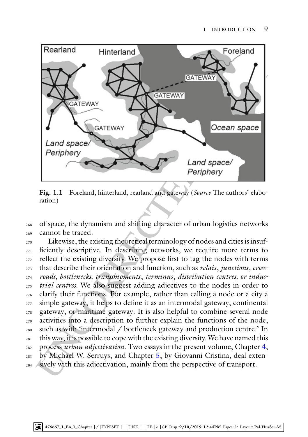

<span id="page-8-0"></span>**Fig. 1.1** Foreland, hinterland, rearland and gateway (*Source* The authors' elaboration)

 of space, the dynamism and shifting character of urban logistics networks cannot be traced.

 Likewise, the existing theoretical terminology of nodes and cities is insuf-<sup>271</sup> ficiently descriptive. In describing networks, we require more terms to <sub>272</sub> reflect the existing diversity. We propose first to tag the nodes with terms that describe their orientation and function, such as *relais*, *junctions, cross- roads, bottlenecks, transshipments*, *terminus, distribution centres, or indus- trial centres*. We also suggest adding adjectives to the nodes in order to clarify their functions. For example, rather than calling a node or a city a <sup>277</sup> simple gateway, it helps to define it as an intermodal gateway, continental gateway, or maritime gateway. It is also helpful to combine several node activities into a description to further explain the functions of the node, such as with 'intermodal / bottleneck gateway and production centre.' In this way, it is possible to cope with the existing diversity. We have named this process *urban adjectivation*. Two essays in the present volume, Chapter 4, by Michael-W. Serruys, and Chapter 5, by Giovanni Cristina, deal exten-sively with this adjectivation, mainly from the perspective of transport.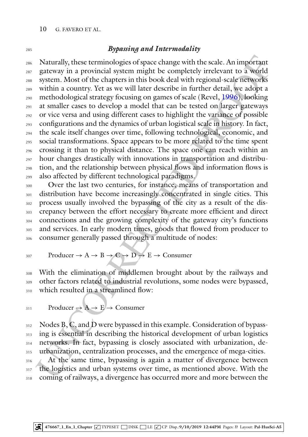#### *Bypassing and Intermodality*

Naturally, these terminologies of space change with the scale. An important gateway in a provincial system. Mot of the chapters in this book dcal with regional-scale riction<br>respectively in a provincial system. Mot of the Naturally, these terminologies of space change with the scale. An important gateway in a provincial system might be completely irrelevant to a world system. Most of the chapters in this book deal with regional-scale networks within a country. Yet as we will later describe in further detail, we adopt a methodological strategy focusing on games of scale (Revel, 1996), looking at smaller cases to develop a model that can be tested on larger gateways or vice versa and using different cases to highlight the variance of possible configurations and the dynamics of urban logistical scale in history. In fact, the scale itself changes over time, following technological, economic, and social transformations. Space appears to be more related to the time spent crossing it than to physical distance. The space one can reach within an hour changes drastically with innovations in transportation and distribu- tion, and the relationship between physical flows and information flows is also affected by different technological paradigms.

 Over the last two centuries, for instance, means of transportation and distribution have become increasingly concentrated in single cities. This process usually involved the bypassing of the city as a result of the dis- crepancy between the effort necessary to create more efficient and direct connections and the growing complexity of the gateway city's functions and services. In early modern times, goods that flowed from producer to consumer generally passed through a multitude of nodes:

Proof: 
$$
307
$$
  $\rightarrow$   $A \rightarrow B \rightarrow C \rightarrow D \rightarrow E \rightarrow \text{Consumer}$ 

 With the elimination of middlemen brought about by the railways and other factors related to industrial revolutions, some nodes were bypassed, 310 which resulted in a streamlined flow:

$$
311 \tProducter \rightarrow A \rightarrow E \rightarrow Consumer
$$

 Nodes B, C, and D were bypassed in this example. Consideration of bypass- ing is essential in describing the historical development of urban logistics networks. In fact, bypassing is closely associated with urbanization, de- urbanization, centralization processes, and the emergence of mega-cities. At the same time, bypassing is again a matter of divergence between 317 the logistics and urban systems over time, as mentioned above. With the

coming of railways, a divergence has occurred more and more between the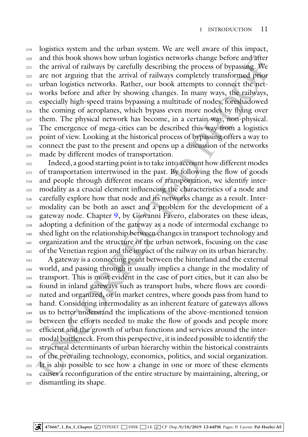logistics system and the urban system. We are well aware of this impact, and this book shows how urban logistics networks change before and after the arrival of railways by carefully describing the process of bypassing. We are not arguing that the arrival of railways completely transformed prior urban logistics networks. Rather, our book attempts to connect the net- works before and after by showing changes. In many ways, the railways, especially high-speed trains bypassing a multitude of nodes, foreshadowed the coming of aeroplanes, which bypass even more nodes by flying over them. The physical network has become, in a certain way, non-physical. The emergence of mega-cities can be described this way from a logistics <sup>329</sup> point of view. Looking at the historical process of bypassing offers a way to connect the past to the present and opens up a discussion of the networks 331 made by different modes of transportation.

 Indeed, a good starting point is to take into account how different modes of transportation intertwined in the past. By following the flow of goods and people through different means of transportation, we identify inter- modality as a crucial element influencing the characteristics of a node and carefully explore how that node and its networks change as a result. Inter-337 modality can be both an asset and a problem for the development of a gateway node. Chapter 9, by Giovanni Favero, elaborates on these ideas, adopting a definition of the gateway as a node of intermodal exchange to 340 shed light on the relationship between changes in transport technology and organization and the structure of the urban network, focusing on the case <sup>342</sup> of the Venetian region and the impact of the railway on its urban hierarchy.

and this book shows how urban logistic networks change before and efter and the arrival of railways by carefully describing the process of bypassing. We are not arguing that the arrival of railways completely transformed <sup>343</sup> A gateway is a connecting point between the hinterland and the external world, and passing through it usually implies a change in the modality of transport. This is most evident in the case of port cities, but it can also be found in inland gateways such as transport hubs, where flows are coordi- nated and organized, or in market centres, where goods pass from hand to hand. Considering intermodality as an inherent feature of gateways allows us to better understand the implications of the above-mentioned tension between the efforts needed to make the flow of goods and people more efficient and the growth of urban functions and services around the inter- modal bottleneck. From this perspective, it is indeed possible to identify the structural determinants of urban hierarchy within the historical constraints of the prevailing technology, economics, politics, and social organization. It is also possible to see how a change in one or more of these elements causes a reconfiguration of the entire structure by maintaining, altering, or dismantling its shape.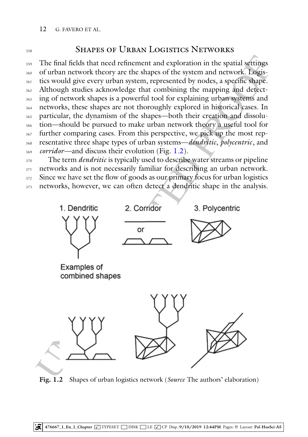## <sup>358</sup> SHAPES OF URBAN LOGISTICS NETWORKS

 The final fields that need refinement and exploration in the spatial settings of urban network theory are the shapes of the system and network. Logis- tics would give every urban system, represented by nodes, a specific shape. Although studies acknowledge that combining the mapping and detect- ing of network shapes is a powerful tool for explaining urban systems and networks, these shapes are not thoroughly explored in historical cases. In particular, the dynamism of the shapes—both their creation and dissolu- tion—should be pursued to make urban network theory a useful tool for 367 further comparing cases. From this perspective, we pick up the most rep- resentative three shape types of urban systems—*dendritic*, *polycentric*, and *corridor*—and discuss their evolution (Fig. [1.2\)](#page-11-0).

 The term *dendritic* is typically used to describe water streams or pipeline 371 networks and is not necessarily familiar for describing an urban network. 372 Since we have set the flow of goods as our primary focus for urban logistics networks, however, we can often detect a dendritic shape in the analysis.



<span id="page-11-0"></span>**Fig. 1.2** Shapes of urban logistics network (*Source* The authors' elaboration)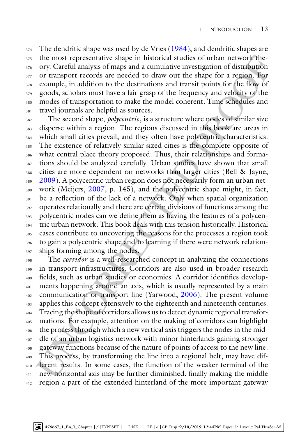The dendritic shape was used by de Vries  $(1984)$ , and dendritic shapes are 375 the most representative shape in historical studies of urban network the- ory. Careful analysis of maps and a cumulative investigation of distribution or transport records are needed to draw out the shape for a region. For <sup>378</sup> example, in addition to the destinations and transit points for the flow of goods, scholars must have a fair grasp of the frequency and velocity of the modes of transportation to make the model coherent. Time schedules and travel journals are helpful as sources.

the most representative shape in istorical studies of urban network the-<br>projection and a cumulative investigation of distribution<br>or transport records are needed to draw out the shape for a region. For<br>example, in additi The second shape, *polycentric*, is a structure where nodes of similar size disperse within a region. The regions discussed in this book are areas in which small cities prevail, and they often have polycentric characteristics. The existence of relatively similar-sized cities is the complete opposite of what central place theory proposed. Thus, their relationships and forma- tions should be analyzed carefully. Urban studies have shown that small cities are more dependent on networks than larger cities (Bell & Jayne, 2009). A polycentric urban region does not necessarily form an urban net- work (Meijers, 2007, p. 145), and the polycentric shape might, in fact, be a reflection of the lack of a network. Only when spatial organization operates relationally and there are certain divisions of functions among the polycentric nodes can we define them as having the features of a polycen- tric urban network. This book deals with this tension historically. Historical cases contribute to uncovering the reasons for the processes a region took to gain a polycentric shape and to learning if there were network relation-397 ships forming among the nodes.

 The *corridor* is a well-researched concept in analyzing the connections in transport infrastructures. Corridors are also used in broader research fields, such as urban studies or economics. A corridor identifies develop- ments happening around an axis, which is usually represented by a main communication or transport line (Yarwood, 2006). The present volume applies this concept extensively to the eighteenth and nineteenth centuries. Tracing the shape of corridors allows us to detect dynamic regional transfor- mations. For example, attention on the making of corridors can highlight the process through which a new vertical axis triggers the nodes in the mid- dle of an urban logistics network with minor hinterlands gaining stronger gateway functions because of the nature of points of access to the new line. This process, by transforming the line into a regional belt, may have dif- ferent results. In some cases, the function of the weaker terminal of the new horizontal axis may be further diminished, finally making the middle region a part of the extended hinterland of the more important gateway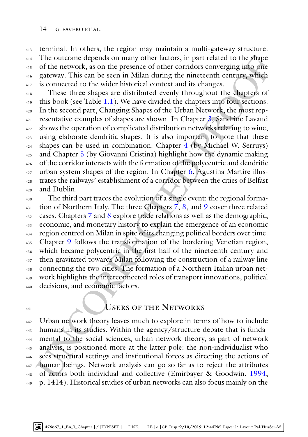#### 14 G. FAVERO ET AL.

 terminal. In others, the region may maintain a multi-gateway structure. <sup>414</sup> The outcome depends on many other factors, in part related to the shape of the network, as on the presence of other corridors converging into one gateway. This can be seen in Milan during the nineteenth century, which is connected to the wider historical context and its changes.

The outcome depends on many other factors, in part related to the shape<br>In the metrovek, as on the presence of other corridors converging into one<br>gateway. This can be seen in Milan during the nincteenth century, which<br>is These three shapes are distributed evenly throughout the chapters of this book (see Table [1.1\)](#page-14-0). We have divided the chapters into four sections. In the second part, Changing Shapes of the Urban Network, the most rep- resentative examples of shapes are shown. In Chapter 3, Sandrine Lavaud shows the operation of complicated distribution networks relating to wine, using elaborate dendritic shapes. It is also important to note that these shapes can be used in combination. Chapter 4 (by Michael-W. Serruys) and Chapter 5 (by Giovanni Cristina) highlight how the dynamic making of the corridor interacts with the formation of the polycentric and dendritic urban system shapes of the region. In Chapter 6, Agustina Martire illus- trates the railways' establishment of a corridor between the cities of Belfast 429 and Dublin.

 The third part traces the evolution of a single event: the regional forma- tion of Northern Italy. The three Chapters 7, 8, and 9 cover three related cases. Chapters 7 and 8 explore trade relations as well as the demographic, economic, and monetary history to explain the emergence of an economic region centred on Milan in spite of its changing political borders over time. Chapter 9 follows the transformation of the bordering Venetian region, which became polycentric in the first half of the nineteenth century and then gravitated towards Milan following the construction of a railway line connecting the two cities. The formation of a Northern Italian urban net- work highlights the interconnected roles of transport innovations, political decisions, and economic factors.

<sup>441</sup> USERS OF THE NETWORKS

 Urban network theory leaves much to explore in terms of how to include humans in its studies. Within the agency/structure debate that is funda- mental to the social sciences, urban network theory, as part of network analysis, is positioned more at the latter pole: the non-individualist who sees structural settings and institutional forces as directing the actions of human beings. Network analysis can go so far as to reject the attributes of actors both individual and collective (Emirbayer & Goodwin, [1994,](#page-18-6) p. 1414). Historical studies of urban networks can also focus mainly on the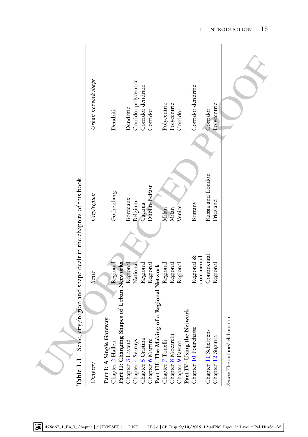| Table 1.1 Scale, city/region and shape dealt in the chapters of this book |                           |                   |                      |
|---------------------------------------------------------------------------|---------------------------|-------------------|----------------------|
| Chapters                                                                  | Scale                     | City/region       | Urban network shape  |
| Part I: A Single Gateway                                                  |                           |                   |                      |
| Part II: Changing Shapes of Urban Networks<br>Chapter 2 Hallen            | Regional                  | Gothenburg        | Dendritic            |
| Chapter 3 Lavaud                                                          | Regional                  | Bordeaux          | Dendritic            |
| Chapter 4 Serruys                                                         | National                  | Belgium           | Corridor polycentric |
| Chapter 5 Cristina                                                        | Regional                  | Catania           | Corridor dendritic   |
| Chapter 6 Martire                                                         | Regional                  | Dublin-Belfast    | Corridor             |
| Part III: The Making of a Regional Network                                |                           |                   |                      |
| Chapter 7 Tonelli                                                         | Regional                  | Milan             | Polycentric          |
| Chapter 8 Mocarelli                                                       | Regional                  | Milan             | Polycentric          |
| Chapter 9 Favero                                                          | Regional                  | Venice            | Corridor             |
| Part IV: Using the Network                                                |                           |                   |                      |
| Chapter 10 Pourchasse                                                     | Regional &<br>continental | Brittany          | Corridor dendritic   |
| Chapter 11 Scheltjens                                                     | Continental               | Russia and London | Corridor             |
| Chapter 12 Sugiura                                                        | Regional                  | Friesland         | Polycentric          |
| Source The authors' elaboration                                           |                           |                   |                      |
|                                                                           |                           |                   |                      |

<span id="page-14-0"></span>**476667\_1\_En\_1\_Chapter** - TYPESET DISK LE - CP Disp.:**9/10/2019 12:44PM** Pages: **??** Layout: **Pal-HusSci-A5**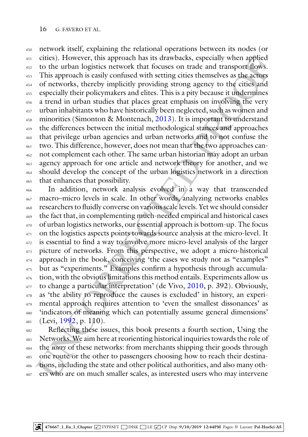network itself, explaining the relational operations between its nodes (or cities). However, this approach has its drawbacks, especially when applied to the urban logistics network that focuses on trade and transport flows. This approach is easily confused with setting cities themselves as the actors of networks, thereby implicitly providing strong agency to the cities and especially their policymakers and elites. This is a pity because it undermines a trend in urban studies that places great emphasis on involving the very urban inhabitants who have historically been neglected, such as women and minorities (Simonton & Montenach, [2013\)](#page-19-16). It is important to understand the differences between the initial methodological stances and approaches that privilege urban agencies and urban networks and to not confuse the two. This difference, however, does not mean that the two approaches can- not complement each other. The same urban historian may adopt an urban agency approach for one article and network theory for another, and we should develop the concept of the urban logistics network in a direction that enhances that possibility.

cities). However, this approach has its daw<br>hacks, especially when applied with contours on trade and transport flows.<br>This approach is easily confused with setting cities themselves as the actors of networks, thereby impl In addition, network analysis evolved in a way that transcended macro–micro levels in scale. In other words, analyzing networks enables researchers to fluidly converse on various scale levels. Yet we should consider the fact that, in complementing much-needed empirical and historical cases of urban logistics networks, our essential approach is bottom-up. The focus 471 on the logistics aspects points towards source analysis at the micro-level. It is essential to find a way to involve more micro-level analysis of the larger picture of networks. From this perspective, we adopt a micro-historical 474 approach in the book, conceiving 'the cases we study not as "examples" but as "experiments." Examples confirm a hypothesis through accumula-476 tion, with the obvious limitations this method entails. Experiments allow us to change a particular interpretation' (de Vivo, 2010, p. 392). Obviously, as 'the ability to reproduce the causes is excluded' in history, an experi- mental approach requires attention to 'even the smallest dissonances' as 'indicators of meaning which can potentially assume general dimensions'  $_{481}$  (Levi, 1992, p. 110).

 Reflecting these issues, this book presents a fourth section, Using the Networks. We aim here at reorienting historical inquiries towards the role of the *users* of these networks: from merchants shipping their goods through one route or the other to passengers choosing how to reach their destina- tions, including the state and other political authorities, and also many oth-ers who are on much smaller scales, as interested users who may intervene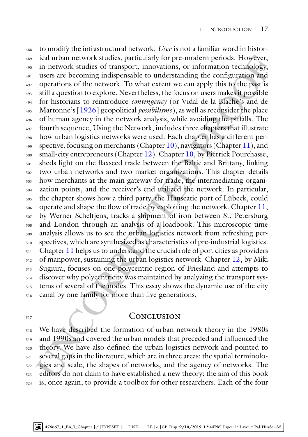ical urban network studies, particularly for pre-modern periods. However, the instant network studies of transport, innovations, or information technology, users are becoming indispensable to understanding the configurati to modify the infrastructural network. *User* is not a familiar word in histor- ical urban network studies, particularly for pre-modern periods. However, in network studies of transport, innovations, or information technology, users are becoming indispensable to understanding the configuration and operations of the network. To what extent we can apply this to the past is still a question to explore. Nevertheless, the focus on users makes it possible for historians to reintroduce *contingency* (or Vidal de la Blache's and de Martonne's [\[1926\]](#page-19-18) geopolitical *possibilisme*), as well as reconsider the place of human agency in the network analysis, while avoiding the pitfalls. The fourth sequence, Using the Network, includes three chapters that illustrate how urban logistics networks were used. Each chapter has a different per-499 spective, focusing on merchants (Chapter 10), navigators (Chapter 11), and small-city entrepreneurs (Chapter 12). Chapter 10, by Pierrick Pourchasse, sheds light on the flaxseed trade between the Baltic and Brittany, linking two urban networks and two market organizations. This chapter details how merchants at the main gateway for trade, the intermediating organi- zation points, and the receiver's end utilized the network. In particular, the chapter shows how a third party, the Hanseatic port of Lübeck, could  $_{506}$  operate and shape the flow of trade by exploiting the network. Chapter 11, by Werner Scheltjens, tracks a shipment of iron between St. Petersburg and London through an analysis of a loadbook. This microscopic time analysis allows us to see the urban logistics network from refreshing per- spectives, which are synthesized as characteristics of pre-industrial logistics. Chapter 11 helps us to understand the crucial role of port cities as providers of manpower, sustaining the urban logistics network. Chapter 12, by Miki Sugiura, focuses on one polycentric region of Friesland and attempts to discover why polycentricity was maintained by analyzing the transport sys- tems of several of the nodes. This essay shows the dynamic use of the city canal by one family for more than five generations.

#### 517 CONCLUSION

 We have described the formation of urban network theory in the 1980s and 1990s and covered the urban models that preceded and influenced the theory. We have also defined the urban logistics network and pointed to several gaps in the literature, which are in three areas: the spatial terminolo- gies and scale, the shapes of networks, and the agency of networks. The editors do not claim to have established a new theory; the aim of this book is, once again, to provide a toolbox for other researchers. Each of the four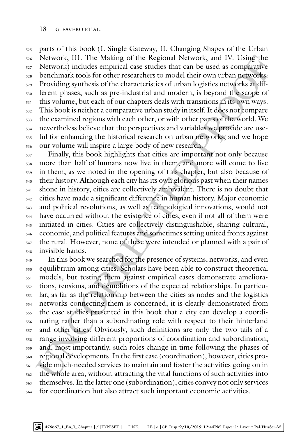parts of this book (I. Single Gateway, II. Changing Shapes of the Urban Network, III. The Making of the Regional Network, and IV. Using the Network) includes empirical case studies that can be used as comparative benchmark tools for other researchers to model their own urban networks. Providing synthesis of the characteristics of urban logistics networks at dif- ferent phases, such as pre-industrial and modern, is beyond the scope of this volume, but each of our chapters deals with transitions in its own ways. This book is neither a comparative urban study in itself. It does not compare the examined regions with each other, or with other parts of the world. We nevertheless believe that the perspectives and variables we provide are use- ful for enhancing the historical research on urban networks, and we hope our volume will inspire a large body of new research.

 Finally, this book highlights that cities are important not only because more than half of humans now live in them, and more will come to live in them, as we noted in the opening of this chapter, but also because of their history. Although each city has its own glorious past when their names shone in history, cities are collectively ambivalent. There is no doubt that cities have made a significant difference in human history. Major economic and political revolutions, as well as technological innovations, would not have occurred without the existence of cities, even if not all of them were initiated in cities. Cities are collectively distinguishable, sharing cultural, economic, and political features and sometimes setting united fronts against the rural. However, none of these were intended or planned with a pair of invisible hands.

Newtork, III. The Making of the Regional Newtork, and IV. Using the Newtork), includes empirical case studies that can be used as comparative benchmark tools for other researchers to model their own urban partworks. The c In this book we searched for the presence of systems, networks, and even equilibrium among cities. Scholars have been able to construct theoretical models, but testing them against empirical cases demonstrate ameliora- tions, tensions, and demolitions of the expected relationships. In particu- lar, as far as the relationship between the cities as nodes and the logistics networks connecting them is concerned, it is clearly demonstrated from the case studies presented in this book that a city can develop a coordi- nating rather than a subordinating role with respect to their hinterland and other cities. Obviously, such definitions are only the two tails of a range involving different proportions of coordination and subordination, and, most importantly, such roles change in time following the phases of regional developments. In the first case (coordination), however, cities pro- vide much-needed services to maintain and foster the activities going on in the whole area, without attracting the vital functions of such activities into themselves. In the latter one (subordination), cities convey not only services for coordination but also attract such important economic activities.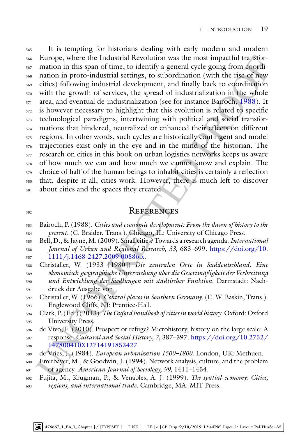Europe, where the Industrial Revolution was the most impact<br>that mation in this span of time, to identify a general cylcle going from egordination in proto-industrial settings, to subordination (with the rise of new<br>matio It is tempting for historians dealing with early modern and modern Europe, where the Industrial Revolution was the most impactful transfor- mation in this span of time, to identify a general cycle going from coordi- nation in proto-industrial settings, to subordination (with the rise of new cities) following industrial development, and finally back to coordination with the growth of services, the spread of industrialization in the whole area, and eventual de-industrialization (see for instance Bairoch, 1988). It is however necessary to highlight that this evolution is related to specific technological paradigms, intertwining with political and social transfor- mations that hindered, neutralized or enhanced their effects on different regions. In other words, such cycles are historically contingent and model trajectories exist only in the eye and in the mind of the historian. The research on cities in this book on urban logistics networks keeps us aware of how much we can and how much we cannot know and explain. The choice of half of the human beings to inhabit cities is certainly a reflection that, despite it all, cities work. However, there is much left to discover about cities and the spaces they created.

## References

- <span id="page-18-8"></span> Bairoch, P. (1988). *Cities and economic development: From the dawn of history to the present*. (C. Braider, Trans.). Chicago, IL: University of Chicago Press.
- <span id="page-18-5"></span> Bell, D., & Jayne, M. (2009). Small cities? Towards a research agenda. *International Journal of Urban and Regional Research, 33,* 683–699. [https://doi.org/10.](https://doi.org/10.1111/j.1468-2427.2009.00886.x) 587 1111/j.1468-2427.2009.00886.x.
- <span id="page-18-1"></span> Christaller, W. (1933 [1980]) *Die zentralen Orte in Süddeutschland. Eine ökonomisch-geographische Untersuchung über die Gesetzmäßigkeit der Verbreitung und Entwicklung der Siedlungen mit städtischer Funktion*. Darmstadt: Nach-
- druck der Ausgabe von.
- <span id="page-18-2"></span> Christaller, W. (1966). *Central places in Southern Germany*. (C. W. Baskin, Trans.). Englewood Cliffs, NJ: Prentice-Hall.
- <span id="page-18-0"></span> Clark, P. (Ed.) (2013). *The Oxford handbook of cities in world history*. Oxford: Oxford University Press.
- <span id="page-18-7"></span> de Vivo, F. (2010). Prospect or refuge? Microhistory, history on the large scale: A response. *Cultural and Social History, 7,* 387–397. [https://doi.org/10.2752/](https://doi.org/10.2752/147800410X12714191853427) 147800410X12714191853427.
- <span id="page-18-3"></span>de Vries, J. (1984). *European urbanization 1500–1800*. London, UK: Methuen.
- <span id="page-18-6"></span> Emirbayer, M., & Goodwin, J. (1994). Network analysis, culture, and the problem of agency. *American Journal of Sociology, 99,* 1411–1454.
- <span id="page-18-4"></span> Fujita, M., Krugman, P., & Venables, A. J. (1999). *The spatial economy: Cities, regions, and international trade*. Cambridge, MA: MIT Press.